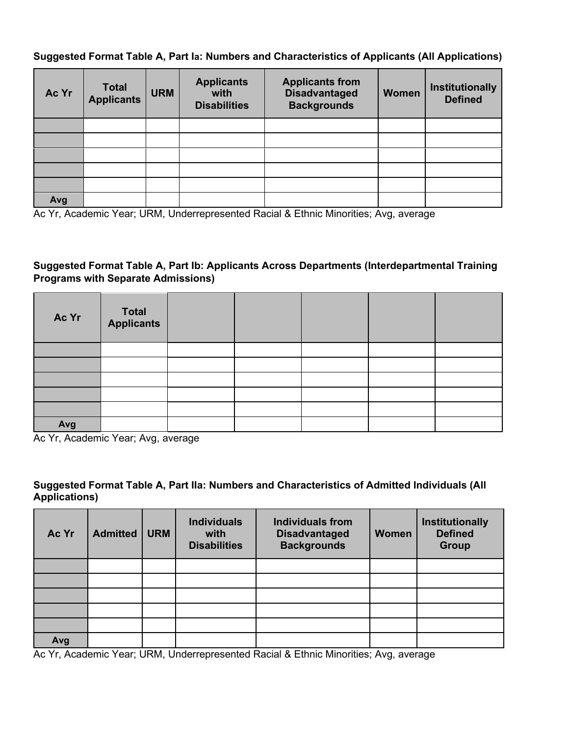## **Suggested Format Table A, Part Ia: Numbers and Characteristics of Applicants (All Applications)**

| Ac Yr | <b>Total</b><br>Applicants | <b>URM</b> | <b>Applicants</b><br>with<br><b>Disabilities</b> | <b>Applicants from</b><br><b>Disadvantaged</b><br><b>Backgrounds</b> | Women | Institutionally<br><b>Defined</b> |
|-------|----------------------------|------------|--------------------------------------------------|----------------------------------------------------------------------|-------|-----------------------------------|
|       |                            |            |                                                  |                                                                      |       |                                   |
|       |                            |            |                                                  |                                                                      |       |                                   |
|       |                            |            |                                                  |                                                                      |       |                                   |
|       |                            |            |                                                  |                                                                      |       |                                   |
|       |                            |            |                                                  |                                                                      |       |                                   |
| Avg   |                            |            |                                                  |                                                                      |       |                                   |

Ac Yr, Academic Year; URM, Underrepresented Racial & Ethnic Minorities; Avg, average

## **Suggested Format Table A, Part Ib: Applicants Across Departments (Interdepartmental Training Programs with Separate Admissions)**

| Ac Yr | Total<br>Applicants |  |  |  |
|-------|---------------------|--|--|--|
|       |                     |  |  |  |
|       |                     |  |  |  |
|       |                     |  |  |  |
|       |                     |  |  |  |
|       |                     |  |  |  |
| Avg   |                     |  |  |  |

Ac Yr, Academic Year; Avg, average

#### **Suggested Format Table A, Part IIa: Numbers and Characteristics of Admitted Individuals (All Applications)**

| Ac Yr | <b>Admitted</b> | <b>URM</b> | <b>Individuals</b><br>with<br><b>Disabilities</b> | <b>Individuals from</b><br><b>Disadvantaged</b><br><b>Backgrounds</b> | <b>Women</b> | Institutionally<br><b>Defined</b><br><b>Group</b> |
|-------|-----------------|------------|---------------------------------------------------|-----------------------------------------------------------------------|--------------|---------------------------------------------------|
|       |                 |            |                                                   |                                                                       |              |                                                   |
|       |                 |            |                                                   |                                                                       |              |                                                   |
|       |                 |            |                                                   |                                                                       |              |                                                   |
|       |                 |            |                                                   |                                                                       |              |                                                   |
|       |                 |            |                                                   |                                                                       |              |                                                   |
| Avg   |                 |            |                                                   |                                                                       |              |                                                   |

Ac Yr, Academic Year; URM, Underrepresented Racial & Ethnic Minorities; Avg, average